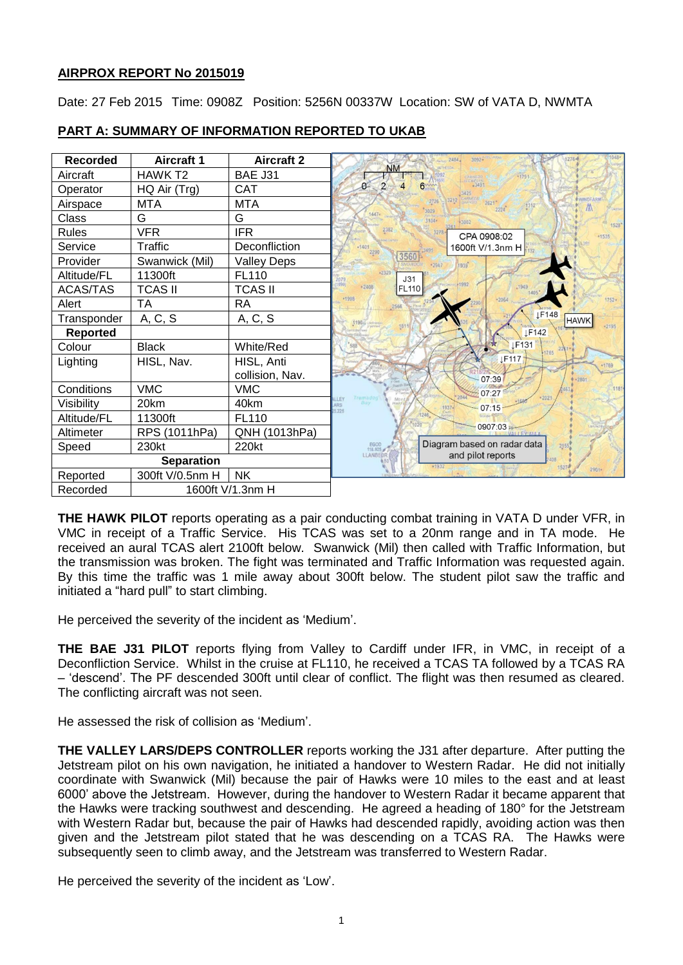# **AIRPROX REPORT No 2015019**

Date: 27 Feb 2015 Time: 0908Z Position: 5256N 00337W Location: SW of VATA D, NWMTA



# **PART A: SUMMARY OF INFORMATION REPORTED TO UKAB**

**THE HAWK PILOT** reports operating as a pair conducting combat training in VATA D under VFR, in VMC in receipt of a Traffic Service. His TCAS was set to a 20nm range and in TA mode. He received an aural TCAS alert 2100ft below. Swanwick (Mil) then called with Traffic Information, but the transmission was broken. The fight was terminated and Traffic Information was requested again. By this time the traffic was 1 mile away about 300ft below. The student pilot saw the traffic and initiated a "hard pull" to start climbing.

He perceived the severity of the incident as 'Medium'.

**THE BAE J31 PILOT** reports flying from Valley to Cardiff under IFR, in VMC, in receipt of a Deconfliction Service. Whilst in the cruise at FL110, he received a TCAS TA followed by a TCAS RA – 'descend'. The PF descended 300ft until clear of conflict. The flight was then resumed as cleared. The conflicting aircraft was not seen.

He assessed the risk of collision as 'Medium'.

**THE VALLEY LARS/DEPS CONTROLLER** reports working the J31 after departure. After putting the Jetstream pilot on his own navigation, he initiated a handover to Western Radar. He did not initially coordinate with Swanwick (Mil) because the pair of Hawks were 10 miles to the east and at least 6000' above the Jetstream. However, during the handover to Western Radar it became apparent that the Hawks were tracking southwest and descending. He agreed a heading of 180° for the Jetstream with Western Radar but, because the pair of Hawks had descended rapidly, avoiding action was then given and the Jetstream pilot stated that he was descending on a TCAS RA. The Hawks were subsequently seen to climb away, and the Jetstream was transferred to Western Radar.

He perceived the severity of the incident as 'Low'.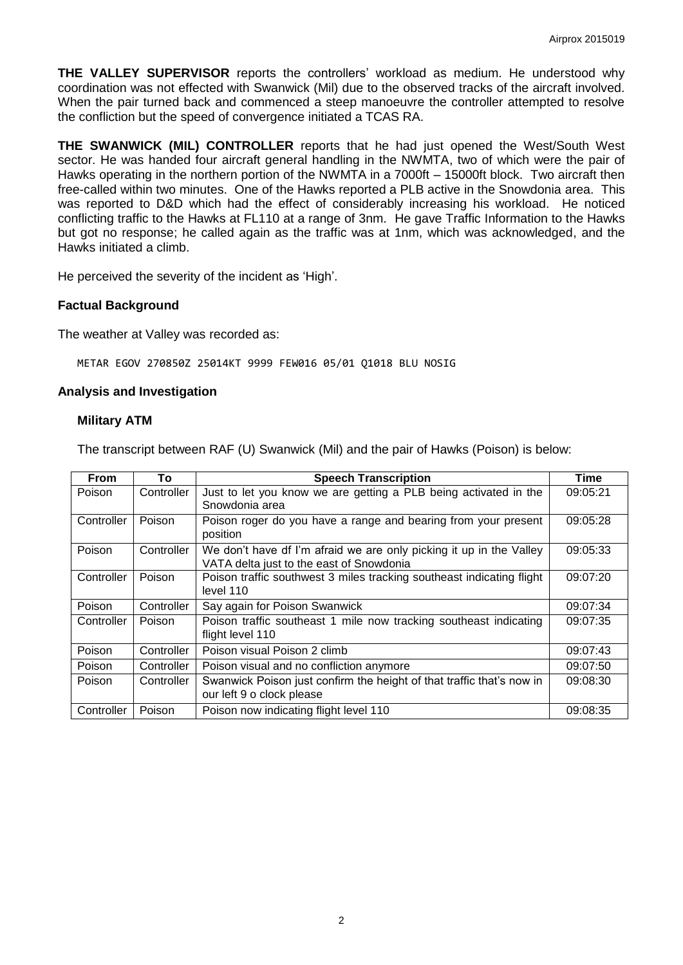**THE VALLEY SUPERVISOR** reports the controllers' workload as medium. He understood why coordination was not effected with Swanwick (Mil) due to the observed tracks of the aircraft involved. When the pair turned back and commenced a steep manoeuvre the controller attempted to resolve the confliction but the speed of convergence initiated a TCAS RA.

**THE SWANWICK (MIL) CONTROLLER** reports that he had just opened the West/South West sector. He was handed four aircraft general handling in the NWMTA, two of which were the pair of Hawks operating in the northern portion of the NWMTA in a 7000ft – 15000ft block. Two aircraft then free-called within two minutes. One of the Hawks reported a PLB active in the Snowdonia area. This was reported to D&D which had the effect of considerably increasing his workload. He noticed conflicting traffic to the Hawks at FL110 at a range of 3nm. He gave Traffic Information to the Hawks but got no response; he called again as the traffic was at 1nm, which was acknowledged, and the Hawks initiated a climb.

He perceived the severity of the incident as 'High'.

### **Factual Background**

The weather at Valley was recorded as:

METAR EGOV 270850Z 25014KT 9999 FEW016 05/01 Q1018 BLU NOSIG

#### **Analysis and Investigation**

#### **Military ATM**

The transcript between RAF (U) Swanwick (Mil) and the pair of Hawks (Poison) is below:

| From       | To         | <b>Speech Transcription</b>                                                                                     | Time     |
|------------|------------|-----------------------------------------------------------------------------------------------------------------|----------|
| Poison     | Controller | Just to let you know we are getting a PLB being activated in the<br>Snowdonia area                              | 09:05:21 |
| Controller | Poison     | Poison roger do you have a range and bearing from your present<br>position                                      | 09:05:28 |
| Poison     | Controller | We don't have df I'm afraid we are only picking it up in the Valley<br>VATA delta just to the east of Snowdonia | 09:05:33 |
| Controller | Poison     | Poison traffic southwest 3 miles tracking southeast indicating flight<br>level 110                              | 09:07:20 |
| Poison     | Controller | Say again for Poison Swanwick                                                                                   | 09:07:34 |
| Controller | Poison     | Poison traffic southeast 1 mile now tracking southeast indicating<br>flight level 110                           | 09:07:35 |
| Poison     | Controller | Poison visual Poison 2 climb                                                                                    | 09:07:43 |
| Poison     | Controller | Poison visual and no confliction anymore                                                                        | 09:07:50 |
| Poison     | Controller | Swanwick Poison just confirm the height of that traffic that's now in<br>our left 9 o clock please              | 09:08:30 |
| Controller | Poison     | Poison now indicating flight level 110                                                                          | 09:08:35 |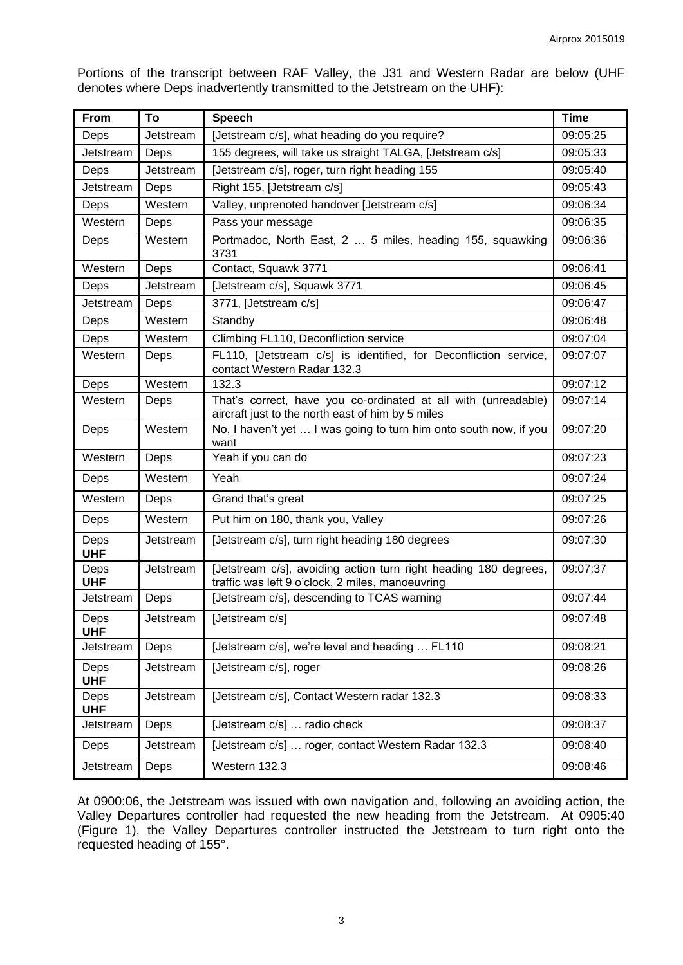Portions of the transcript between RAF Valley, the J31 and Western Radar are below (UHF denotes where Deps inadvertently transmitted to the Jetstream on the UHF):

| From               | To        | <b>Speech</b>                                                                                                        | Time     |
|--------------------|-----------|----------------------------------------------------------------------------------------------------------------------|----------|
| Deps               | Jetstream | [Jetstream c/s], what heading do you require?                                                                        | 09:05:25 |
| Jetstream          | Deps      | 155 degrees, will take us straight TALGA, [Jetstream c/s]                                                            | 09:05:33 |
| Deps               | Jetstream | [Jetstream c/s], roger, turn right heading 155                                                                       | 09:05:40 |
| Jetstream          | Deps      | Right 155, [Jetstream c/s]                                                                                           | 09:05:43 |
| Deps               | Western   | Valley, unprenoted handover [Jetstream c/s]                                                                          | 09:06:34 |
| Western            | Deps      | Pass your message                                                                                                    | 09:06:35 |
| Deps               | Western   | Portmadoc, North East, 2  5 miles, heading 155, squawking<br>3731                                                    | 09:06:36 |
| Western            | Deps      | Contact, Squawk 3771                                                                                                 | 09:06:41 |
| Deps               | Jetstream | [Jetstream c/s], Squawk 3771                                                                                         | 09:06:45 |
| Jetstream          | Deps      | 3771, [Jetstream c/s]                                                                                                | 09:06:47 |
| Deps               | Western   | Standby                                                                                                              | 09:06:48 |
| Deps               | Western   | Climbing FL110, Deconfliction service                                                                                | 09:07:04 |
| Western            | Deps      | FL110, [Jetstream c/s] is identified, for Deconfliction service,<br>contact Western Radar 132.3                      | 09:07:07 |
| Deps               | Western   | 132.3                                                                                                                | 09:07:12 |
| Western            | Deps      | That's correct, have you co-ordinated at all with (unreadable)<br>aircraft just to the north east of him by 5 miles  | 09:07:14 |
| Deps               | Western   | No, I haven't yet  I was going to turn him onto south now, if you<br>want                                            | 09:07:20 |
| Western            | Deps      | Yeah if you can do                                                                                                   | 09:07:23 |
| Deps               | Western   | Yeah                                                                                                                 | 09:07:24 |
| Western            | Deps      | Grand that's great                                                                                                   | 09:07:25 |
| Deps               | Western   | Put him on 180, thank you, Valley                                                                                    | 09:07:26 |
| Deps<br><b>UHF</b> | Jetstream | [Jetstream c/s], turn right heading 180 degrees                                                                      | 09:07:30 |
| Deps<br><b>UHF</b> | Jetstream | [Jetstream c/s], avoiding action turn right heading 180 degrees,<br>traffic was left 9 o'clock, 2 miles, manoeuvring | 09:07:37 |
| Jetstream          | Deps      | [Jetstream c/s], descending to TCAS warning                                                                          | 09:07:44 |
| Deps<br><b>UHF</b> | Jetstream | [Jetstream c/s]                                                                                                      | 09:07:48 |
| Jetstream          | Deps      | [Jetstream c/s], we're level and heading  FL110                                                                      | 09:08:21 |
| Deps<br><b>UHF</b> | Jetstream | [Jetstream c/s], roger                                                                                               | 09:08:26 |
| Deps<br><b>UHF</b> | Jetstream | [Jetstream c/s], Contact Western radar 132.3                                                                         | 09:08:33 |
| Jetstream          | Deps      | [Jetstream c/s]  radio check                                                                                         | 09:08:37 |
| Deps               | Jetstream | [Jetstream c/s]  roger, contact Western Radar 132.3                                                                  | 09:08:40 |
| Jetstream          | Deps      | Western 132.3                                                                                                        | 09:08:46 |

At 0900:06, the Jetstream was issued with own navigation and, following an avoiding action, the Valley Departures controller had requested the new heading from the Jetstream. At 0905:40 (Figure 1), the Valley Departures controller instructed the Jetstream to turn right onto the requested heading of 155°.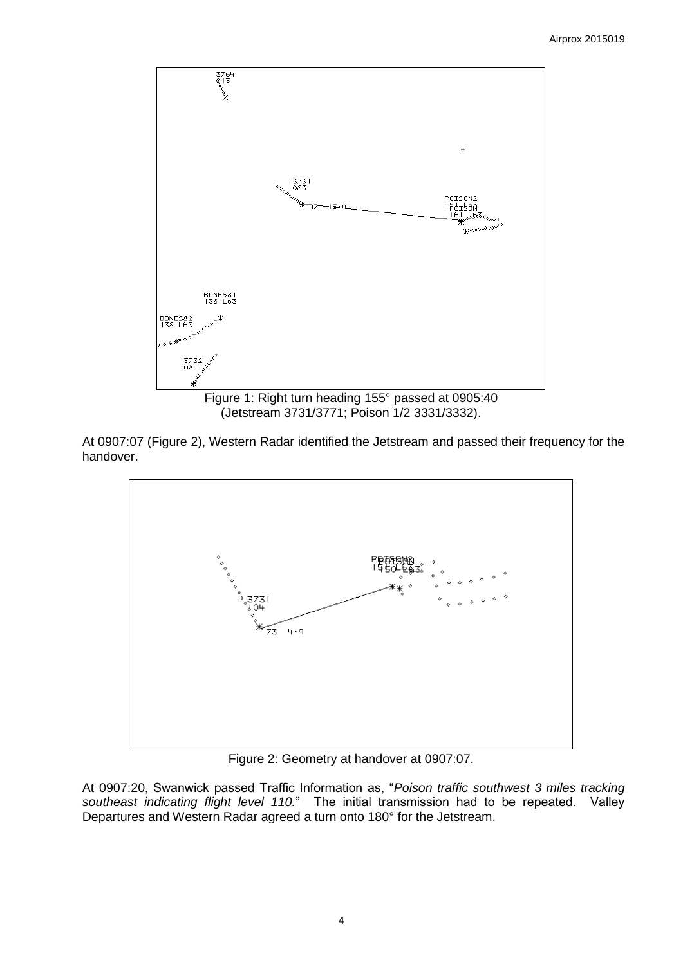

(Jetstream 3731/3771; Poison 1/2 3331/3332).

At 0907:07 (Figure 2), Western Radar identified the Jetstream and passed their frequency for the handover.



Figure 2: Geometry at handover at 0907:07.

At 0907:20, Swanwick passed Traffic Information as, "*Poison traffic southwest 3 miles tracking southeast indicating flight level 110.*" The initial transmission had to be repeated. Valley Departures and Western Radar agreed a turn onto 180° for the Jetstream.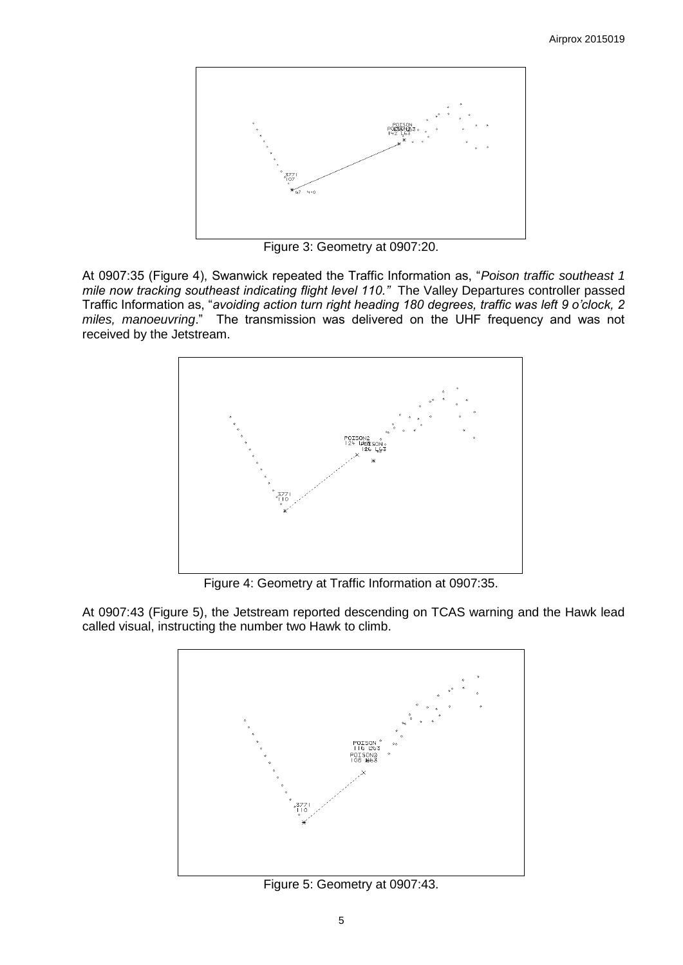

Figure 3: Geometry at 0907:20.

At 0907:35 (Figure 4), Swanwick repeated the Traffic Information as, "*Poison traffic southeast 1 mile now tracking southeast indicating flight level 110."* The Valley Departures controller passed Traffic Information as, "*avoiding action turn right heading 180 degrees, traffic was left 9 o'clock, 2 miles, manoeuvring*." The transmission was delivered on the UHF frequency and was not received by the Jetstream.



Figure 4: Geometry at Traffic Information at 0907:35.

At 0907:43 (Figure 5), the Jetstream reported descending on TCAS warning and the Hawk lead called visual, instructing the number two Hawk to climb.



Figure 5: Geometry at 0907:43.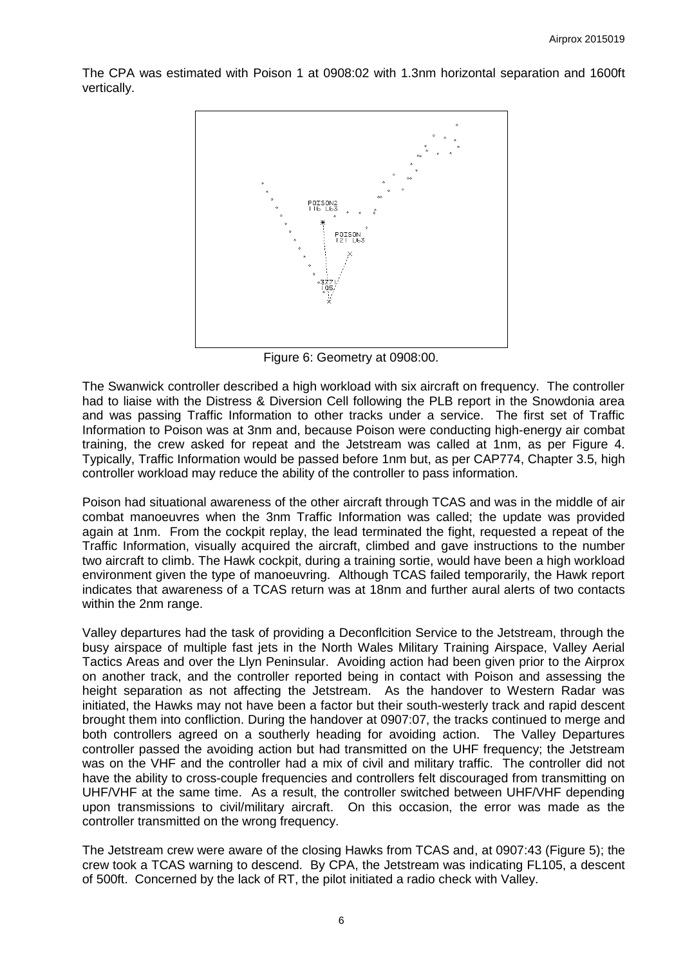The CPA was estimated with Poison 1 at 0908:02 with 1.3nm horizontal separation and 1600ft vertically.



Figure 6: Geometry at 0908:00.

The Swanwick controller described a high workload with six aircraft on frequency. The controller had to liaise with the Distress & Diversion Cell following the PLB report in the Snowdonia area and was passing Traffic Information to other tracks under a service. The first set of Traffic Information to Poison was at 3nm and, because Poison were conducting high-energy air combat training, the crew asked for repeat and the Jetstream was called at 1nm, as per Figure 4. Typically, Traffic Information would be passed before 1nm but, as per CAP774, Chapter 3.5, high controller workload may reduce the ability of the controller to pass information.

Poison had situational awareness of the other aircraft through TCAS and was in the middle of air combat manoeuvres when the 3nm Traffic Information was called; the update was provided again at 1nm. From the cockpit replay, the lead terminated the fight, requested a repeat of the Traffic Information, visually acquired the aircraft, climbed and gave instructions to the number two aircraft to climb. The Hawk cockpit, during a training sortie, would have been a high workload environment given the type of manoeuvring. Although TCAS failed temporarily, the Hawk report indicates that awareness of a TCAS return was at 18nm and further aural alerts of two contacts within the 2nm range.

Valley departures had the task of providing a Deconflcition Service to the Jetstream, through the busy airspace of multiple fast jets in the North Wales Military Training Airspace, Valley Aerial Tactics Areas and over the Llyn Peninsular. Avoiding action had been given prior to the Airprox on another track, and the controller reported being in contact with Poison and assessing the height separation as not affecting the Jetstream. As the handover to Western Radar was initiated, the Hawks may not have been a factor but their south-westerly track and rapid descent brought them into confliction. During the handover at 0907:07, the tracks continued to merge and both controllers agreed on a southerly heading for avoiding action. The Valley Departures controller passed the avoiding action but had transmitted on the UHF frequency; the Jetstream was on the VHF and the controller had a mix of civil and military traffic. The controller did not have the ability to cross-couple frequencies and controllers felt discouraged from transmitting on UHF/VHF at the same time. As a result, the controller switched between UHF/VHF depending upon transmissions to civil/military aircraft. On this occasion, the error was made as the controller transmitted on the wrong frequency.

The Jetstream crew were aware of the closing Hawks from TCAS and, at 0907:43 (Figure 5); the crew took a TCAS warning to descend. By CPA, the Jetstream was indicating FL105, a descent of 500ft. Concerned by the lack of RT, the pilot initiated a radio check with Valley.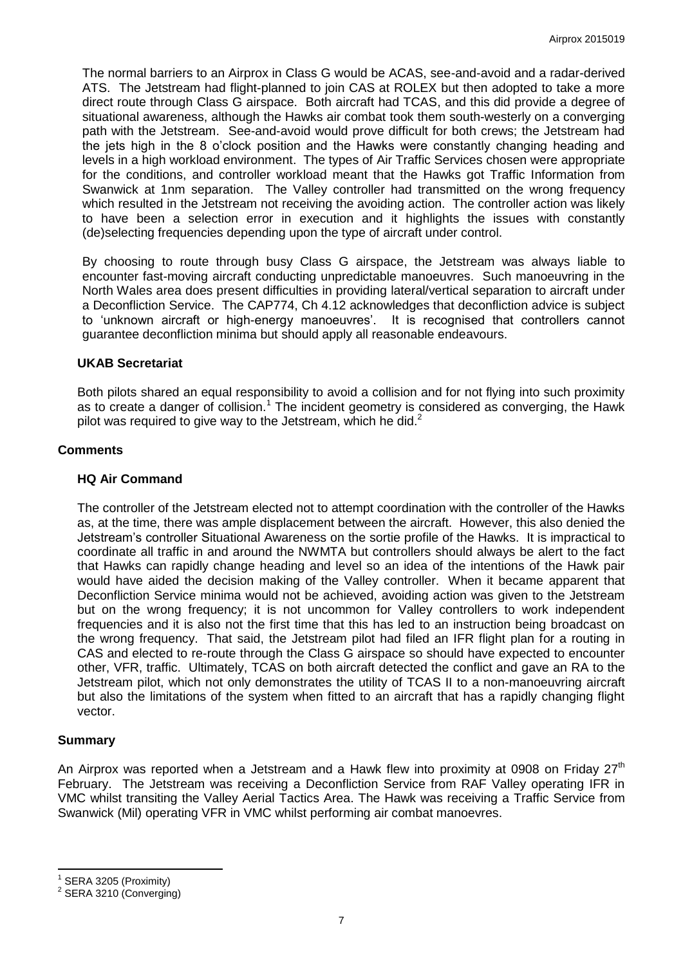The normal barriers to an Airprox in Class G would be ACAS, see-and-avoid and a radar-derived ATS. The Jetstream had flight-planned to join CAS at ROLEX but then adopted to take a more direct route through Class G airspace. Both aircraft had TCAS, and this did provide a degree of situational awareness, although the Hawks air combat took them south-westerly on a converging path with the Jetstream. See-and-avoid would prove difficult for both crews; the Jetstream had the jets high in the 8 o'clock position and the Hawks were constantly changing heading and levels in a high workload environment. The types of Air Traffic Services chosen were appropriate for the conditions, and controller workload meant that the Hawks got Traffic Information from Swanwick at 1nm separation. The Valley controller had transmitted on the wrong frequency which resulted in the Jetstream not receiving the avoiding action. The controller action was likely to have been a selection error in execution and it highlights the issues with constantly (de)selecting frequencies depending upon the type of aircraft under control.

By choosing to route through busy Class G airspace, the Jetstream was always liable to encounter fast-moving aircraft conducting unpredictable manoeuvres. Such manoeuvring in the North Wales area does present difficulties in providing lateral/vertical separation to aircraft under a Deconfliction Service. The CAP774, Ch 4.12 acknowledges that deconfliction advice is subject to 'unknown aircraft or high-energy manoeuvres'. It is recognised that controllers cannot guarantee deconfliction minima but should apply all reasonable endeavours.

### **UKAB Secretariat**

Both pilots shared an equal responsibility to avoid a collision and for not flying into such proximity as to create a danger of collision.<sup>1</sup> The incident geometry is considered as converging, the Hawk pilot was required to give way to the Jetstream, which he did. $2<sup>2</sup>$ 

### **Comments**

### **HQ Air Command**

The controller of the Jetstream elected not to attempt coordination with the controller of the Hawks as, at the time, there was ample displacement between the aircraft. However, this also denied the Jetstream's controller Situational Awareness on the sortie profile of the Hawks. It is impractical to coordinate all traffic in and around the NWMTA but controllers should always be alert to the fact that Hawks can rapidly change heading and level so an idea of the intentions of the Hawk pair would have aided the decision making of the Valley controller. When it became apparent that Deconfliction Service minima would not be achieved, avoiding action was given to the Jetstream but on the wrong frequency; it is not uncommon for Valley controllers to work independent frequencies and it is also not the first time that this has led to an instruction being broadcast on the wrong frequency. That said, the Jetstream pilot had filed an IFR flight plan for a routing in CAS and elected to re-route through the Class G airspace so should have expected to encounter other, VFR, traffic. Ultimately, TCAS on both aircraft detected the conflict and gave an RA to the Jetstream pilot, which not only demonstrates the utility of TCAS II to a non-manoeuvring aircraft but also the limitations of the system when fitted to an aircraft that has a rapidly changing flight vector.

### **Summary**

 $\overline{\phantom{a}}$ 

An Airprox was reported when a Jetstream and a Hawk flew into proximity at 0908 on Friday  $27<sup>th</sup>$ February. The Jetstream was receiving a Deconfliction Service from RAF Valley operating IFR in VMC whilst transiting the Valley Aerial Tactics Area. The Hawk was receiving a Traffic Service from Swanwick (Mil) operating VFR in VMC whilst performing air combat manoevres.

<sup>1</sup> SERA 3205 (Proximity)

<sup>&</sup>lt;sup>2</sup> SERA 3210 (Converging)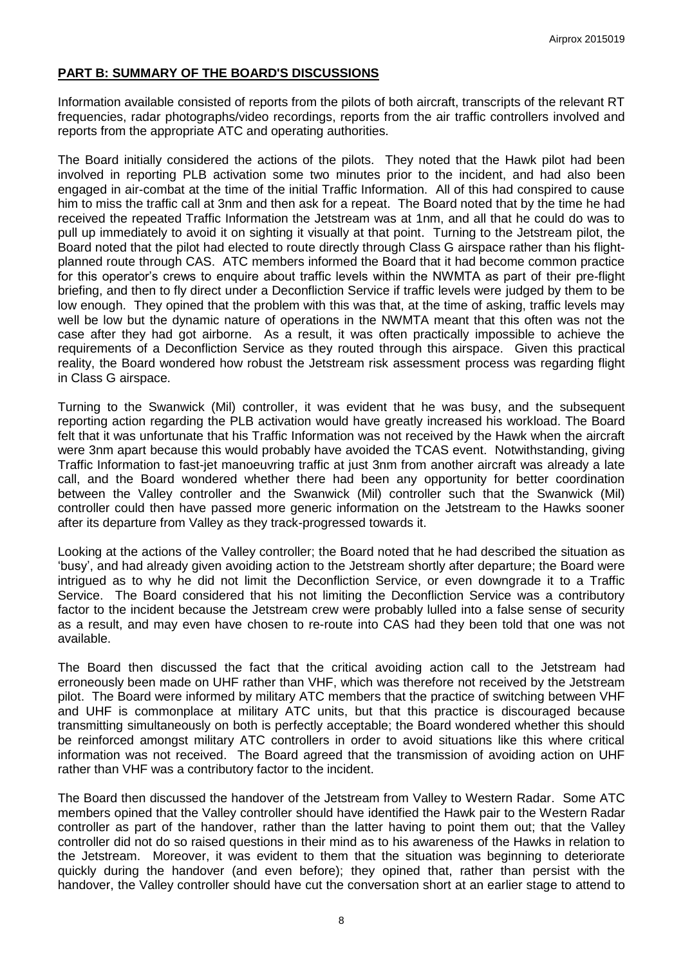# **PART B: SUMMARY OF THE BOARD'S DISCUSSIONS**

Information available consisted of reports from the pilots of both aircraft, transcripts of the relevant RT frequencies, radar photographs/video recordings, reports from the air traffic controllers involved and reports from the appropriate ATC and operating authorities.

The Board initially considered the actions of the pilots. They noted that the Hawk pilot had been involved in reporting PLB activation some two minutes prior to the incident, and had also been engaged in air-combat at the time of the initial Traffic Information. All of this had conspired to cause him to miss the traffic call at 3nm and then ask for a repeat. The Board noted that by the time he had received the repeated Traffic Information the Jetstream was at 1nm, and all that he could do was to pull up immediately to avoid it on sighting it visually at that point. Turning to the Jetstream pilot, the Board noted that the pilot had elected to route directly through Class G airspace rather than his flightplanned route through CAS. ATC members informed the Board that it had become common practice for this operator's crews to enquire about traffic levels within the NWMTA as part of their pre-flight briefing, and then to fly direct under a Deconfliction Service if traffic levels were judged by them to be low enough. They opined that the problem with this was that, at the time of asking, traffic levels may well be low but the dynamic nature of operations in the NWMTA meant that this often was not the case after they had got airborne. As a result, it was often practically impossible to achieve the requirements of a Deconfliction Service as they routed through this airspace. Given this practical reality, the Board wondered how robust the Jetstream risk assessment process was regarding flight in Class G airspace.

Turning to the Swanwick (Mil) controller, it was evident that he was busy, and the subsequent reporting action regarding the PLB activation would have greatly increased his workload. The Board felt that it was unfortunate that his Traffic Information was not received by the Hawk when the aircraft were 3nm apart because this would probably have avoided the TCAS event. Notwithstanding, giving Traffic Information to fast-jet manoeuvring traffic at just 3nm from another aircraft was already a late call, and the Board wondered whether there had been any opportunity for better coordination between the Valley controller and the Swanwick (Mil) controller such that the Swanwick (Mil) controller could then have passed more generic information on the Jetstream to the Hawks sooner after its departure from Valley as they track-progressed towards it.

Looking at the actions of the Valley controller; the Board noted that he had described the situation as 'busy', and had already given avoiding action to the Jetstream shortly after departure; the Board were intrigued as to why he did not limit the Deconfliction Service, or even downgrade it to a Traffic Service. The Board considered that his not limiting the Deconfliction Service was a contributory factor to the incident because the Jetstream crew were probably lulled into a false sense of security as a result, and may even have chosen to re-route into CAS had they been told that one was not available.

The Board then discussed the fact that the critical avoiding action call to the Jetstream had erroneously been made on UHF rather than VHF, which was therefore not received by the Jetstream pilot. The Board were informed by military ATC members that the practice of switching between VHF and UHF is commonplace at military ATC units, but that this practice is discouraged because transmitting simultaneously on both is perfectly acceptable; the Board wondered whether this should be reinforced amongst military ATC controllers in order to avoid situations like this where critical information was not received. The Board agreed that the transmission of avoiding action on UHF rather than VHF was a contributory factor to the incident.

The Board then discussed the handover of the Jetstream from Valley to Western Radar. Some ATC members opined that the Valley controller should have identified the Hawk pair to the Western Radar controller as part of the handover, rather than the latter having to point them out; that the Valley controller did not do so raised questions in their mind as to his awareness of the Hawks in relation to the Jetstream. Moreover, it was evident to them that the situation was beginning to deteriorate quickly during the handover (and even before); they opined that, rather than persist with the handover, the Valley controller should have cut the conversation short at an earlier stage to attend to